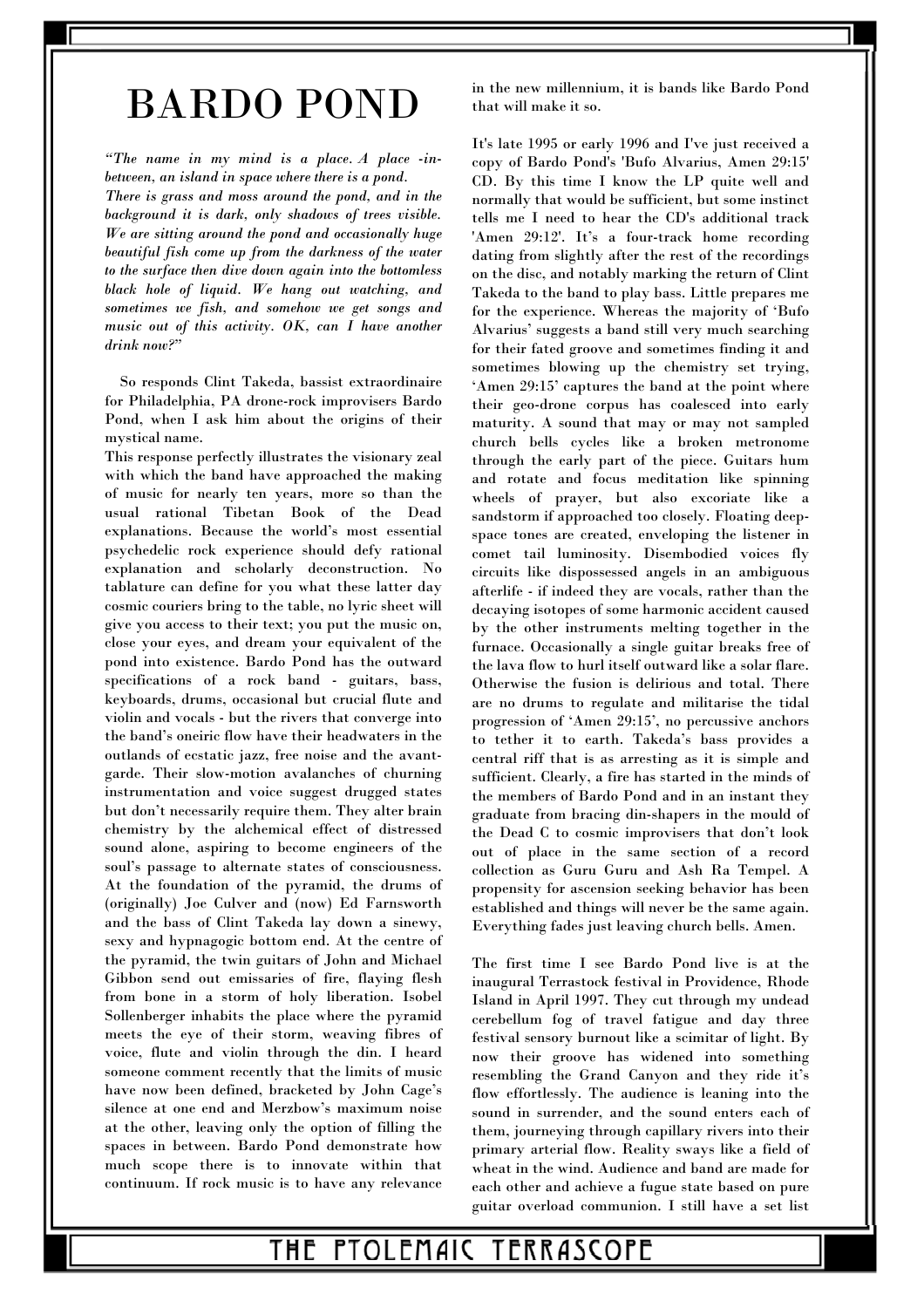# BARDO POND

*"The name in my mind is a place. A place -inbetween, an island in space where there is a pond.* 

*There is grass and moss around the pond, and in the background it is dark, only shadows of trees visible. We are sitting around the pond and occasionally huge beautiful fish come up from the darkness of the water to the surface then dive down again into the bottomless black hole of liquid. We hang out watching, and sometimes we fish, and somehow we get songs and music out of this activity. OK, can I have another drink now?"* 

 So responds Clint Takeda, bassist extraordinaire for Philadelphia, PA drone-rock improvisers Bardo Pond, when I ask him about the origins of their mystical name.

This response perfectly illustrates the visionary zeal with which the band have approached the making of music for nearly ten years, more so than the usual rational Tibetan Book of the Dead explanations. Because the world's most essential psychedelic rock experience should defy rational explanation and scholarly deconstruction. No tablature can define for you what these latter day cosmic couriers bring to the table, no lyric sheet will give you access to their text; you put the music on, close your eyes, and dream your equivalent of the pond into existence. Bardo Pond has the outward specifications of a rock band - guitars, bass, keyboards, drums, occasional but crucial flute and violin and vocals - but the rivers that converge into the band's oneiric flow have their headwaters in the outlands of ecstatic jazz, free noise and the avantgarde. Their slow-motion avalanches of churning instrumentation and voice suggest drugged states but don't necessarily require them. They alter brain chemistry by the alchemical effect of distressed sound alone, aspiring to become engineers of the soul's passage to alternate states of consciousness. At the foundation of the pyramid, the drums of (originally) Joe Culver and (now) Ed Farnsworth and the bass of Clint Takeda lay down a sinewy, sexy and hypnagogic bottom end. At the centre of the pyramid, the twin guitars of John and Michael Gibbon send out emissaries of fire, flaying flesh from bone in a storm of holy liberation. Isobel Sollenberger inhabits the place where the pyramid meets the eye of their storm, weaving fibres of voice, flute and violin through the din. I heard someone comment recently that the limits of music have now been defined, bracketed by John Cage's silence at one end and Merzbow's maximum noise at the other, leaving only the option of filling the spaces in between. Bardo Pond demonstrate how much scope there is to innovate within that continuum. If rock music is to have any relevance

in the new millennium, it is bands like Bardo Pond that will make it so.

It's late 1995 or early 1996 and I've just received a copy of Bardo Pond's 'Bufo Alvarius, Amen 29:15' CD. By this time I know the LP quite well and normally that would be sufficient, but some instinct tells me I need to hear the CD's additional track 'Amen 29:12'. It's a four-track home recording dating from slightly after the rest of the recordings on the disc, and notably marking the return of Clint Takeda to the band to play bass. Little prepares me for the experience. Whereas the majority of 'Bufo Alvarius' suggests a band still very much searching for their fated groove and sometimes finding it and sometimes blowing up the chemistry set trying, 'Amen 29:15' captures the band at the point where their geo-drone corpus has coalesced into early maturity. A sound that may or may not sampled church bells cycles like a broken metronome through the early part of the piece. Guitars hum and rotate and focus meditation like spinning wheels of prayer, but also excoriate like a sandstorm if approached too closely. Floating deepspace tones are created, enveloping the listener in comet tail luminosity. Disembodied voices fly circuits like dispossessed angels in an ambiguous afterlife - if indeed they are vocals, rather than the decaying isotopes of some harmonic accident caused by the other instruments melting together in the furnace. Occasionally a single guitar breaks free of the lava flow to hurl itself outward like a solar flare. Otherwise the fusion is delirious and total. There are no drums to regulate and militarise the tidal progression of 'Amen 29:15', no percussive anchors to tether it to earth. Takeda's bass provides a central riff that is as arresting as it is simple and sufficient. Clearly, a fire has started in the minds of the members of Bardo Pond and in an instant they graduate from bracing din-shapers in the mould of the Dead C to cosmic improvisers that don't look out of place in the same section of a record collection as Guru Guru and Ash Ra Tempel. A propensity for ascension seeking behavior has been established and things will never be the same again. Everything fades just leaving church bells. Amen.

The first time I see Bardo Pond live is at the inaugural Terrastock festival in Providence, Rhode Island in April 1997. They cut through my undead cerebellum fog of travel fatigue and day three festival sensory burnout like a scimitar of light. By now their groove has widened into something resembling the Grand Canyon and they ride it's flow effortlessly. The audience is leaning into the sound in surrender, and the sound enters each of them, journeying through capillary rivers into their primary arterial flow. Reality sways like a field of wheat in the wind. Audience and band are made for each other and achieve a fugue state based on pure guitar overload communion. I still have a set list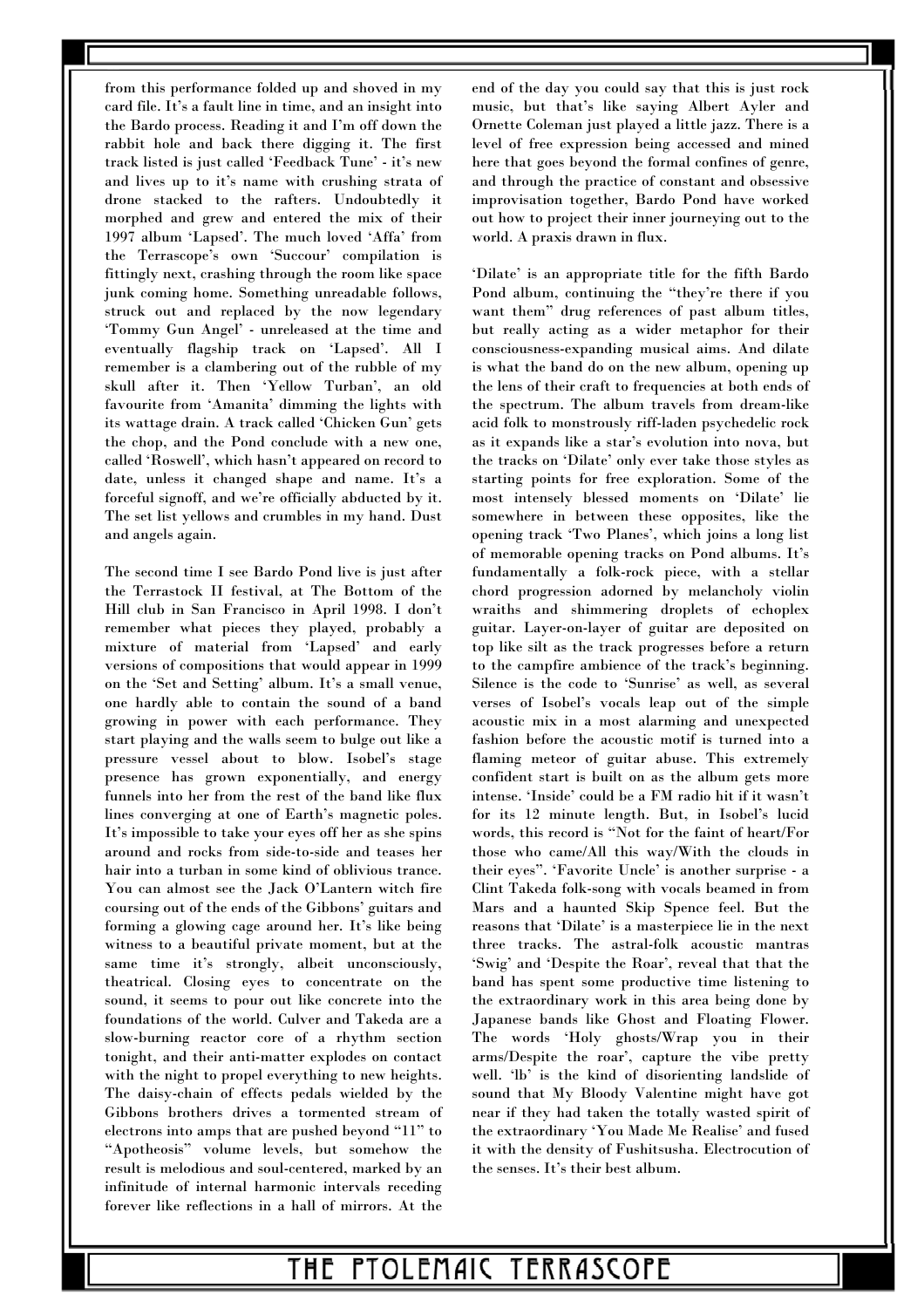from this performance folded up and shoved in my card file. It's a fault line in time, and an insight into the Bardo process. Reading it and I'm off down the rabbit hole and back there digging it. The first track listed is just called 'Feedback Tune' - it's new and lives up to it's name with crushing strata of drone stacked to the rafters. Undoubtedly it morphed and grew and entered the mix of their 1997 album 'Lapsed'. The much loved 'Affa' from the Terrascope's own 'Succour' compilation is fittingly next, crashing through the room like space junk coming home. Something unreadable follows, struck out and replaced by the now legendary 'Tommy Gun Angel' - unreleased at the time and eventually flagship track on 'Lapsed'. All I remember is a clambering out of the rubble of my skull after it. Then 'Yellow Turban', an old favourite from 'Amanita' dimming the lights with its wattage drain. A track called 'Chicken Gun' gets the chop, and the Pond conclude with a new one, called 'Roswell', which hasn't appeared on record to date, unless it changed shape and name. It's a forceful signoff, and we're officially abducted by it. The set list yellows and crumbles in my hand. Dust and angels again.

The second time I see Bardo Pond live is just after the Terrastock II festival, at The Bottom of the Hill club in San Francisco in April 1998. I don't remember what pieces they played, probably a mixture of material from 'Lapsed' and early versions of compositions that would appear in 1999 on the 'Set and Setting' album. It's a small venue, one hardly able to contain the sound of a band growing in power with each performance. They start playing and the walls seem to bulge out like a pressure vessel about to blow. Isobel's stage presence has grown exponentially, and energy funnels into her from the rest of the band like flux lines converging at one of Earth's magnetic poles. It's impossible to take your eyes off her as she spins around and rocks from side-to-side and teases her hair into a turban in some kind of oblivious trance. You can almost see the Jack O'Lantern witch fire coursing out of the ends of the Gibbons' guitars and forming a glowing cage around her. It's like being witness to a beautiful private moment, but at the same time it's strongly, albeit unconsciously, theatrical. Closing eyes to concentrate on the sound, it seems to pour out like concrete into the foundations of the world. Culver and Takeda are a slow-burning reactor core of a rhythm section tonight, and their anti-matter explodes on contact with the night to propel everything to new heights. The daisy-chain of effects pedals wielded by the Gibbons brothers drives a tormented stream of electrons into amps that are pushed beyond "11" to "Apotheosis" volume levels, but somehow the result is melodious and soul-centered, marked by an infinitude of internal harmonic intervals receding forever like reflections in a hall of mirrors. At the end of the day you could say that this is just rock music, but that's like saying Albert Ayler and Ornette Coleman just played a little jazz. There is a level of free expression being accessed and mined here that goes beyond the formal confines of genre, and through the practice of constant and obsessive improvisation together, Bardo Pond have worked out how to project their inner journeying out to the world. A praxis drawn in flux.

'Dilate' is an appropriate title for the fifth Bardo Pond album, continuing the "they're there if you want them" drug references of past album titles, but really acting as a wider metaphor for their consciousness-expanding musical aims. And dilate is what the band do on the new album, opening up the lens of their craft to frequencies at both ends of the spectrum. The album travels from dream-like acid folk to monstrously riff-laden psychedelic rock as it expands like a star's evolution into nova, but the tracks on 'Dilate' only ever take those styles as starting points for free exploration. Some of the most intensely blessed moments on 'Dilate' lie somewhere in between these opposites, like the opening track 'Two Planes', which joins a long list of memorable opening tracks on Pond albums. It's fundamentally a folk-rock piece, with a stellar chord progression adorned by melancholy violin wraiths and shimmering droplets of echoplex guitar. Layer-on-layer of guitar are deposited on top like silt as the track progresses before a return to the campfire ambience of the track's beginning. Silence is the code to 'Sunrise' as well, as several verses of Isobel's vocals leap out of the simple acoustic mix in a most alarming and unexpected fashion before the acoustic motif is turned into a flaming meteor of guitar abuse. This extremely confident start is built on as the album gets more intense. 'Inside' could be a FM radio hit if it wasn't for its 12 minute length. But, in Isobel's lucid words, this record is "Not for the faint of heart/For those who came/All this way/With the clouds in their eyes". 'Favorite Uncle' is another surprise - a Clint Takeda folk-song with vocals beamed in from Mars and a haunted Skip Spence feel. But the reasons that 'Dilate' is a masterpiece lie in the next three tracks. The astral-folk acoustic mantras 'Swig' and 'Despite the Roar', reveal that that the band has spent some productive time listening to the extraordinary work in this area being done by Japanese bands like Ghost and Floating Flower. The words 'Holy ghosts/Wrap you in their arms/Despite the roar', capture the vibe pretty well. 'lb' is the kind of disorienting landslide of sound that My Bloody Valentine might have got near if they had taken the totally wasted spirit of the extraordinary 'You Made Me Realise' and fused it with the density of Fushitsusha. Electrocution of the senses. It's their best album.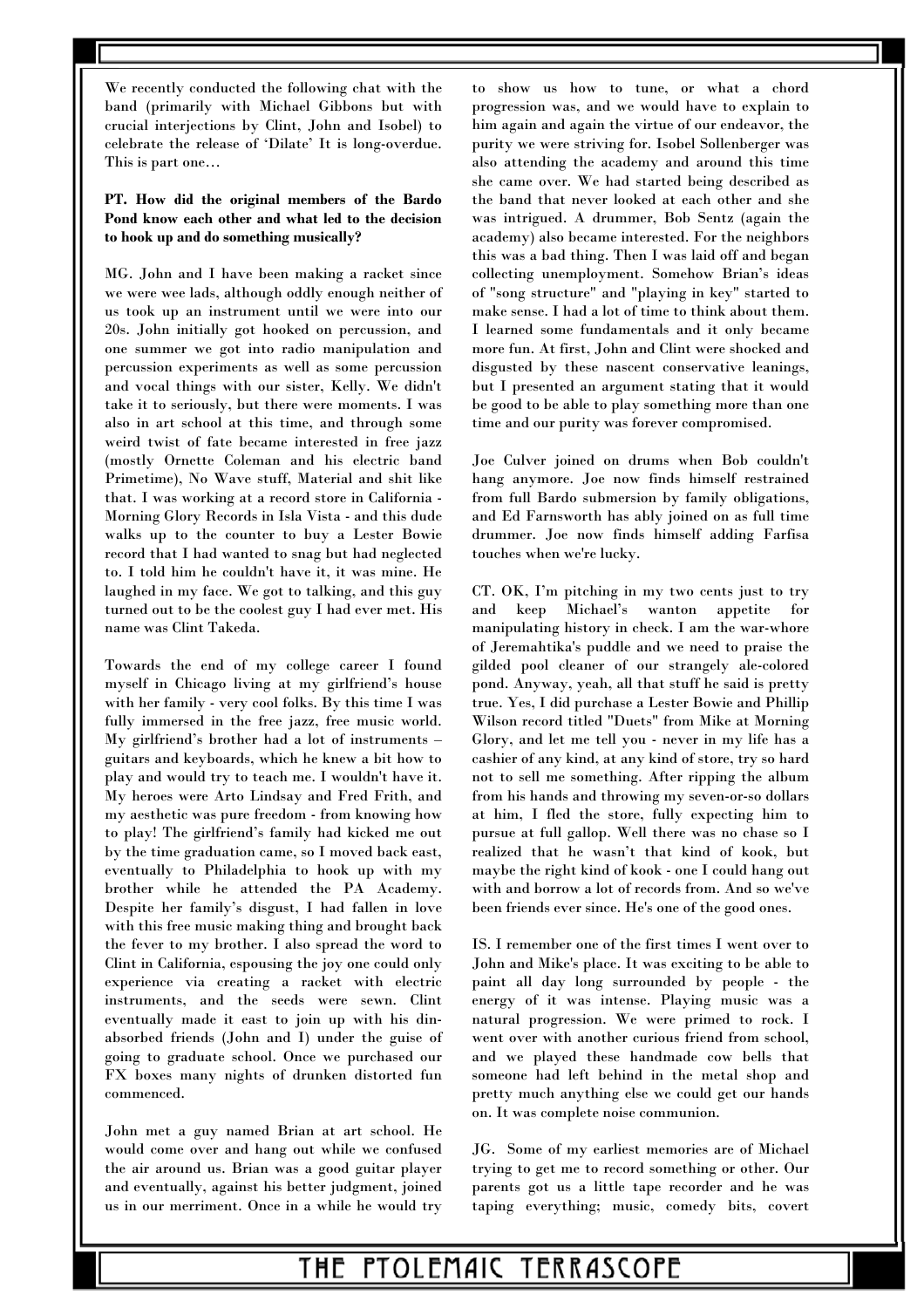We recently conducted the following chat with the band (primarily with Michael Gibbons but with crucial interjections by Clint, John and Isobel) to celebrate the release of 'Dilate' It is long-overdue. This is part one…

### **PT. How did the original members of the Bardo Pond know each other and what led to the decision to hook up and do something musically?**

MG. John and I have been making a racket since we were wee lads, although oddly enough neither of us took up an instrument until we were into our 20s. John initially got hooked on percussion, and one summer we got into radio manipulation and percussion experiments as well as some percussion and vocal things with our sister, Kelly. We didn't take it to seriously, but there were moments. I was also in art school at this time, and through some weird twist of fate became interested in free jazz (mostly Ornette Coleman and his electric band Primetime), No Wave stuff, Material and shit like that. I was working at a record store in California - Morning Glory Records in Isla Vista - and this dude walks up to the counter to buy a Lester Bowie record that I had wanted to snag but had neglected to. I told him he couldn't have it, it was mine. He laughed in my face. We got to talking, and this guy turned out to be the coolest guy I had ever met. His name was Clint Takeda.

Towards the end of my college career I found myself in Chicago living at my girlfriend's house with her family - very cool folks. By this time I was fully immersed in the free jazz, free music world. My girlfriend's brother had a lot of instruments – guitars and keyboards, which he knew a bit how to play and would try to teach me. I wouldn't have it. My heroes were Arto Lindsay and Fred Frith, and my aesthetic was pure freedom - from knowing how to play! The girlfriend's family had kicked me out by the time graduation came, so I moved back east, eventually to Philadelphia to hook up with my brother while he attended the PA Academy. Despite her family's disgust, I had fallen in love with this free music making thing and brought back the fever to my brother. I also spread the word to Clint in California, espousing the joy one could only experience via creating a racket with electric instruments, and the seeds were sewn. Clint eventually made it east to join up with his dinabsorbed friends (John and I) under the guise of going to graduate school. Once we purchased our FX boxes many nights of drunken distorted fun commenced.

John met a guy named Brian at art school. He would come over and hang out while we confused the air around us. Brian was a good guitar player and eventually, against his better judgment, joined us in our merriment. Once in a while he would try to show us how to tune, or what a chord progression was, and we would have to explain to him again and again the virtue of our endeavor, the purity we were striving for. Isobel Sollenberger was also attending the academy and around this time she came over. We had started being described as the band that never looked at each other and she was intrigued. A drummer, Bob Sentz (again the academy) also became interested. For the neighbors this was a bad thing. Then I was laid off and began collecting unemployment. Somehow Brian's ideas of "song structure" and "playing in key" started to make sense. I had a lot of time to think about them. I learned some fundamentals and it only became more fun. At first, John and Clint were shocked and disgusted by these nascent conservative leanings, but I presented an argument stating that it would be good to be able to play something more than one time and our purity was forever compromised.

Joe Culver joined on drums when Bob couldn't hang anymore. Joe now finds himself restrained from full Bardo submersion by family obligations, and Ed Farnsworth has ably joined on as full time drummer. Joe now finds himself adding Farfisa touches when we're lucky.

CT. OK, I'm pitching in my two cents just to try and keep Michael's wanton appetite for manipulating history in check. I am the war-whore of Jeremahtika's puddle and we need to praise the gilded pool cleaner of our strangely ale-colored pond. Anyway, yeah, all that stuff he said is pretty true. Yes, I did purchase a Lester Bowie and Phillip Wilson record titled "Duets" from Mike at Morning Glory, and let me tell you - never in my life has a cashier of any kind, at any kind of store, try so hard not to sell me something. After ripping the album from his hands and throwing my seven-or-so dollars at him, I fled the store, fully expecting him to pursue at full gallop. Well there was no chase so I realized that he wasn't that kind of kook, but maybe the right kind of kook - one I could hang out with and borrow a lot of records from. And so we've been friends ever since. He's one of the good ones.

IS. I remember one of the first times I went over to John and Mike's place. It was exciting to be able to paint all day long surrounded by people - the energy of it was intense. Playing music was a natural progression. We were primed to rock. I went over with another curious friend from school, and we played these handmade cow bells that someone had left behind in the metal shop and pretty much anything else we could get our hands on. It was complete noise communion.

JG. Some of my earliest memories are of Michael trying to get me to record something or other. Our parents got us a little tape recorder and he was taping everything; music, comedy bits, covert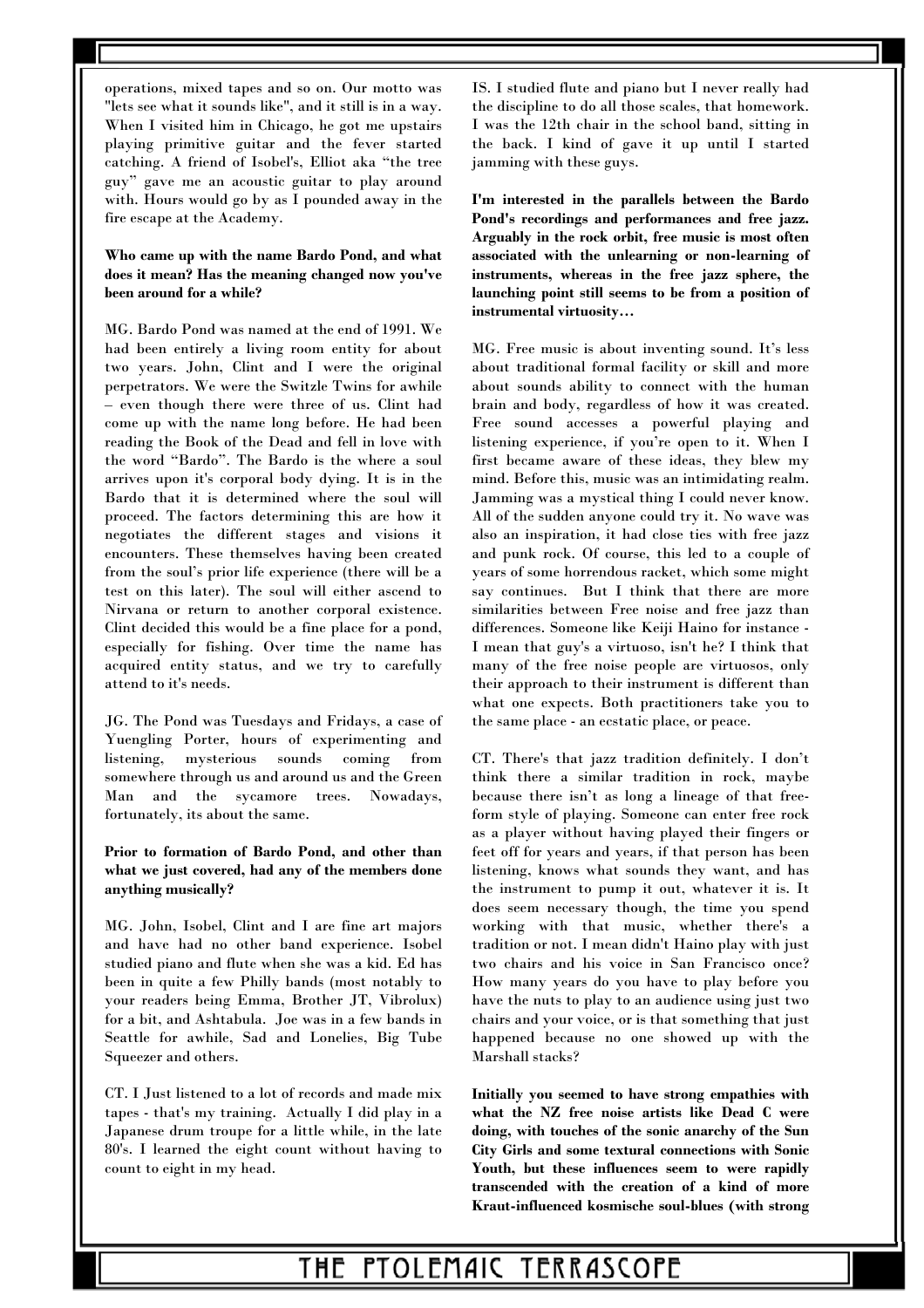operations, mixed tapes and so on. Our motto was "lets see what it sounds like", and it still is in a way. When I visited him in Chicago, he got me upstairs playing primitive guitar and the fever started catching. A friend of Isobel's, Elliot aka "the tree guy" gave me an acoustic guitar to play around with. Hours would go by as I pounded away in the fire escape at the Academy.

**Who came up with the name Bardo Pond, and what does it mean? Has the meaning changed now you've been around for a while?** 

MG. Bardo Pond was named at the end of 1991. We had been entirely a living room entity for about two years. John, Clint and I were the original perpetrators. We were the Switzle Twins for awhile – even though there were three of us. Clint had come up with the name long before. He had been reading the Book of the Dead and fell in love with the word "Bardo". The Bardo is the where a soul arrives upon it's corporal body dying. It is in the Bardo that it is determined where the soul will proceed. The factors determining this are how it negotiates the different stages and visions it encounters. These themselves having been created from the soul's prior life experience (there will be a test on this later). The soul will either ascend to Nirvana or return to another corporal existence. Clint decided this would be a fine place for a pond, especially for fishing. Over time the name has acquired entity status, and we try to carefully attend to it's needs.

JG. The Pond was Tuesdays and Fridays, a case of Yuengling Porter, hours of experimenting and listening, mysterious sounds coming from somewhere through us and around us and the Green Man and the sycamore trees. Nowadays, fortunately, its about the same.

**Prior to formation of Bardo Pond, and other than what we just covered, had any of the members done anything musically?** 

MG. John, Isobel, Clint and I are fine art majors and have had no other band experience. Isobel studied piano and flute when she was a kid. Ed has been in quite a few Philly bands (most notably to your readers being Emma, Brother JT, Vibrolux) for a bit, and Ashtabula. Joe was in a few bands in Seattle for awhile, Sad and Lonelies, Big Tube Squeezer and others.

CT. I Just listened to a lot of records and made mix tapes - that's my training. Actually I did play in a Japanese drum troupe for a little while, in the late 80's. I learned the eight count without having to count to eight in my head.

IS. I studied flute and piano but I never really had the discipline to do all those scales, that homework. I was the 12th chair in the school band, sitting in the back. I kind of gave it up until I started jamming with these guys.

**I'm interested in the parallels between the Bardo Pond's recordings and performances and free jazz. Arguably in the rock orbit, free music is most often associated with the unlearning or non-learning of instruments, whereas in the free jazz sphere, the launching point still seems to be from a position of instrumental virtuosity…** 

MG. Free music is about inventing sound. It's less about traditional formal facility or skill and more about sounds ability to connect with the human brain and body, regardless of how it was created. Free sound accesses a powerful playing and listening experience, if you're open to it. When I first became aware of these ideas, they blew my mind. Before this, music was an intimidating realm. Jamming was a mystical thing I could never know. All of the sudden anyone could try it. No wave was also an inspiration, it had close ties with free jazz and punk rock. Of course, this led to a couple of years of some horrendous racket, which some might say continues. But I think that there are more similarities between Free noise and free jazz than differences. Someone like Keiji Haino for instance - I mean that guy's a virtuoso, isn't he? I think that many of the free noise people are virtuosos, only their approach to their instrument is different than what one expects. Both practitioners take you to the same place - an ecstatic place, or peace.

CT. There's that jazz tradition definitely. I don't think there a similar tradition in rock, maybe because there isn't as long a lineage of that freeform style of playing. Someone can enter free rock as a player without having played their fingers or feet off for years and years, if that person has been listening, knows what sounds they want, and has the instrument to pump it out, whatever it is. It does seem necessary though, the time you spend working with that music, whether there's a tradition or not. I mean didn't Haino play with just two chairs and his voice in San Francisco once? How many years do you have to play before you have the nuts to play to an audience using just two chairs and your voice, or is that something that just happened because no one showed up with the Marshall stacks?

**Initially you seemed to have strong empathies with what the NZ free noise artists like Dead C were doing, with touches of the sonic anarchy of the Sun City Girls and some textural connections with Sonic Youth, but these influences seem to were rapidly transcended with the creation of a kind of more Kraut-influenced kosmische soul-blues (with strong**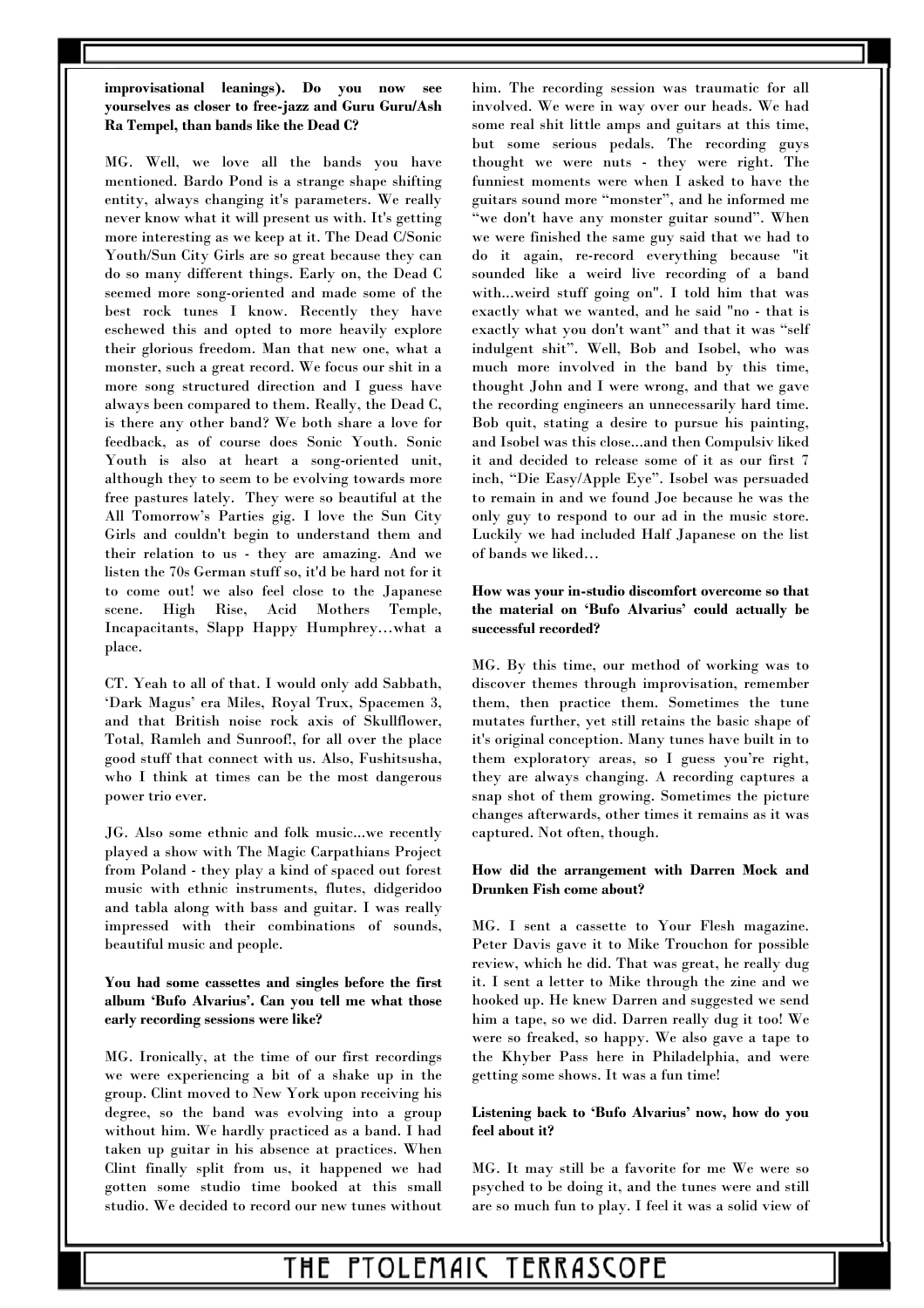### **improvisational leanings). Do you now see yourselves as closer to free-jazz and Guru Guru/Ash Ra Tempel, than bands like the Dead C?**

MG. Well, we love all the bands you have mentioned. Bardo Pond is a strange shape shifting entity, always changing it's parameters. We really never know what it will present us with. It's getting more interesting as we keep at it. The Dead C/Sonic Youth/Sun City Girls are so great because they can do so many different things. Early on, the Dead C seemed more song-oriented and made some of the best rock tunes I know. Recently they have eschewed this and opted to more heavily explore their glorious freedom. Man that new one, what a monster, such a great record. We focus our shit in a more song structured direction and I guess have always been compared to them. Really, the Dead C, is there any other band? We both share a love for feedback, as of course does Sonic Youth. Sonic Youth is also at heart a song-oriented unit, although they to seem to be evolving towards more free pastures lately. They were so beautiful at the All Tomorrow's Parties gig. I love the Sun City Girls and couldn't begin to understand them and their relation to us - they are amazing. And we listen the 70s German stuff so, it'd be hard not for it to come out! we also feel close to the Japanese scene. High Rise, Acid Mothers Temple, Incapacitants, Slapp Happy Humphrey…what a place.

CT. Yeah to all of that. I would only add Sabbath, 'Dark Magus' era Miles, Royal Trux, Spacemen 3, and that British noise rock axis of Skullflower, Total, Ramleh and Sunroof!, for all over the place good stuff that connect with us. Also, Fushitsusha, who I think at times can be the most dangerous power trio ever.

JG. Also some ethnic and folk music...we recently played a show with The Magic Carpathians Project from Poland - they play a kind of spaced out forest music with ethnic instruments, flutes, didgeridoo and tabla along with bass and guitar. I was really impressed with their combinations of sounds, beautiful music and people.

### **You had some cassettes and singles before the first album 'Bufo Alvarius'. Can you tell me what those early recording sessions were like?**

MG. Ironically, at the time of our first recordings we were experiencing a bit of a shake up in the group. Clint moved to New York upon receiving his degree, so the band was evolving into a group without him. We hardly practiced as a band. I had taken up guitar in his absence at practices. When Clint finally split from us, it happened we had gotten some studio time booked at this small studio. We decided to record our new tunes without him. The recording session was traumatic for all involved. We were in way over our heads. We had some real shit little amps and guitars at this time, but some serious pedals. The recording guys thought we were nuts - they were right. The funniest moments were when I asked to have the guitars sound more "monster", and he informed me "we don't have any monster guitar sound". When we were finished the same guy said that we had to do it again, re-record everything because "it sounded like a weird live recording of a band with...weird stuff going on". I told him that was exactly what we wanted, and he said "no - that is exactly what you don't want" and that it was "self indulgent shit". Well, Bob and Isobel, who was much more involved in the band by this time, thought John and I were wrong, and that we gave the recording engineers an unnecessarily hard time. Bob quit, stating a desire to pursue his painting, and Isobel was this close...and then Compulsiv liked it and decided to release some of it as our first 7 inch, "Die Easy/Apple Eye". Isobel was persuaded to remain in and we found Joe because he was the only guy to respond to our ad in the music store. Luckily we had included Half Japanese on the list of bands we liked…

### **How was your in-studio discomfort overcome so that the material on 'Bufo Alvarius' could actually be successful recorded?**

MG. By this time, our method of working was to discover themes through improvisation, remember them, then practice them. Sometimes the tune mutates further, yet still retains the basic shape of it's original conception. Many tunes have built in to them exploratory areas, so I guess you're right, they are always changing. A recording captures a snap shot of them growing. Sometimes the picture changes afterwards, other times it remains as it was captured. Not often, though.

### **How did the arrangement with Darren Mock and Drunken Fish come about?**

MG. I sent a cassette to Your Flesh magazine. Peter Davis gave it to Mike Trouchon for possible review, which he did. That was great, he really dug it. I sent a letter to Mike through the zine and we hooked up. He knew Darren and suggested we send him a tape, so we did. Darren really dug it too! We were so freaked, so happy. We also gave a tape to the Khyber Pass here in Philadelphia, and were getting some shows. It was a fun time!

### **Listening back to 'Bufo Alvarius' now, how do you feel about it?**

MG. It may still be a favorite for me We were so psyched to be doing it, and the tunes were and still are so much fun to play. I feel it was a solid view of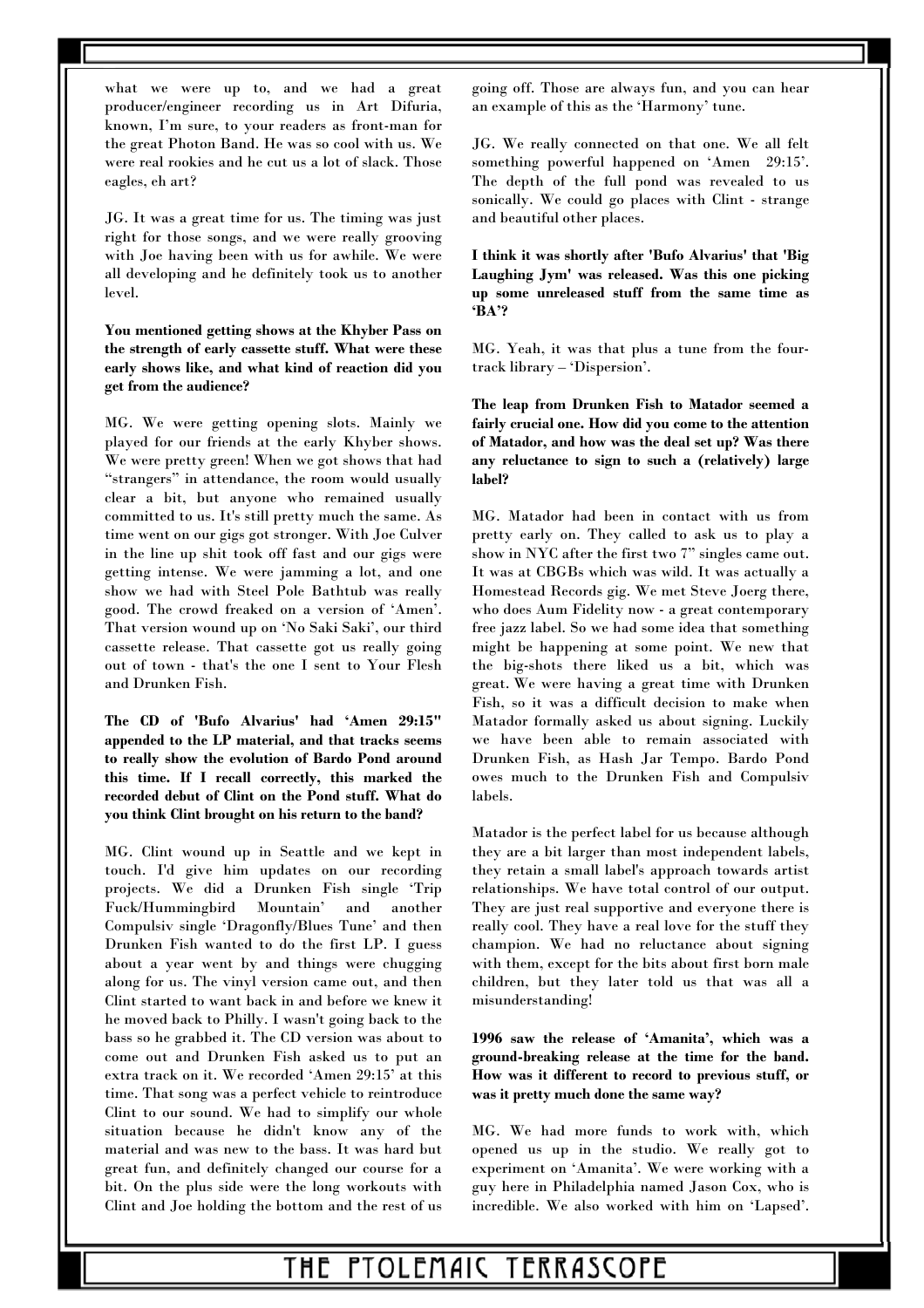what we were up to, and we had a great producer/engineer recording us in Art Difuria, known, I'm sure, to your readers as front-man for the great Photon Band. He was so cool with us. We were real rookies and he cut us a lot of slack. Those eagles, eh art?

JG. It was a great time for us. The timing was just right for those songs, and we were really grooving with Joe having been with us for awhile. We were all developing and he definitely took us to another level.

**You mentioned getting shows at the Khyber Pass on the strength of early cassette stuff. What were these early shows like, and what kind of reaction did you get from the audience?** 

MG. We were getting opening slots. Mainly we played for our friends at the early Khyber shows. We were pretty green! When we got shows that had "strangers" in attendance, the room would usually clear a bit, but anyone who remained usually committed to us. It's still pretty much the same. As time went on our gigs got stronger. With Joe Culver in the line up shit took off fast and our gigs were getting intense. We were jamming a lot, and one show we had with Steel Pole Bathtub was really good. The crowd freaked on a version of 'Amen'. That version wound up on 'No Saki Saki', our third cassette release. That cassette got us really going out of town - that's the one I sent to Your Flesh and Drunken Fish.

**The CD of 'Bufo Alvarius' had 'Amen 29:15" appended to the LP material, and that tracks seems to really show the evolution of Bardo Pond around this time. If I recall correctly, this marked the recorded debut of Clint on the Pond stuff. What do you think Clint brought on his return to the band?** 

MG. Clint wound up in Seattle and we kept in touch. I'd give him updates on our recording projects. We did a Drunken Fish single 'Trip Fuck/Hummingbird Mountain' and another Compulsiv single 'Dragonfly/Blues Tune' and then Drunken Fish wanted to do the first LP. I guess about a year went by and things were chugging along for us. The vinyl version came out, and then Clint started to want back in and before we knew it he moved back to Philly. I wasn't going back to the bass so he grabbed it. The CD version was about to come out and Drunken Fish asked us to put an extra track on it. We recorded 'Amen 29:15' at this time. That song was a perfect vehicle to reintroduce Clint to our sound. We had to simplify our whole situation because he didn't know any of the material and was new to the bass. It was hard but great fun, and definitely changed our course for a bit. On the plus side were the long workouts with Clint and Joe holding the bottom and the rest of us going off. Those are always fun, and you can hear an example of this as the 'Harmony' tune.

JG. We really connected on that one. We all felt something powerful happened on 'Amen 29:15'. The depth of the full pond was revealed to us sonically. We could go places with Clint - strange and beautiful other places.

**I think it was shortly after 'Bufo Alvarius' that 'Big Laughing Jym' was released. Was this one picking up some unreleased stuff from the same time as 'BA'?** 

MG. Yeah, it was that plus a tune from the fourtrack library – 'Dispersion'.

**The leap from Drunken Fish to Matador seemed a fairly crucial one. How did you come to the attention of Matador, and how was the deal set up? Was there any reluctance to sign to such a (relatively) large label?** 

MG. Matador had been in contact with us from pretty early on. They called to ask us to play a show in NYC after the first two 7" singles came out. It was at CBGBs which was wild. It was actually a Homestead Records gig. We met Steve Joerg there, who does Aum Fidelity now - a great contemporary free jazz label. So we had some idea that something might be happening at some point. We new that the big-shots there liked us a bit, which was great. We were having a great time with Drunken Fish, so it was a difficult decision to make when Matador formally asked us about signing. Luckily we have been able to remain associated with Drunken Fish, as Hash Jar Tempo. Bardo Pond owes much to the Drunken Fish and Compulsiv labels.

Matador is the perfect label for us because although they are a bit larger than most independent labels, they retain a small label's approach towards artist relationships. We have total control of our output. They are just real supportive and everyone there is really cool. They have a real love for the stuff they champion. We had no reluctance about signing with them, except for the bits about first born male children, but they later told us that was all a misunderstanding!

**1996 saw the release of 'Amanita', which was a ground-breaking release at the time for the band. How was it different to record to previous stuff, or was it pretty much done the same way?** 

MG. We had more funds to work with, which opened us up in the studio. We really got to experiment on 'Amanita'. We were working with a guy here in Philadelphia named Jason Cox, who is incredible. We also worked with him on 'Lapsed'.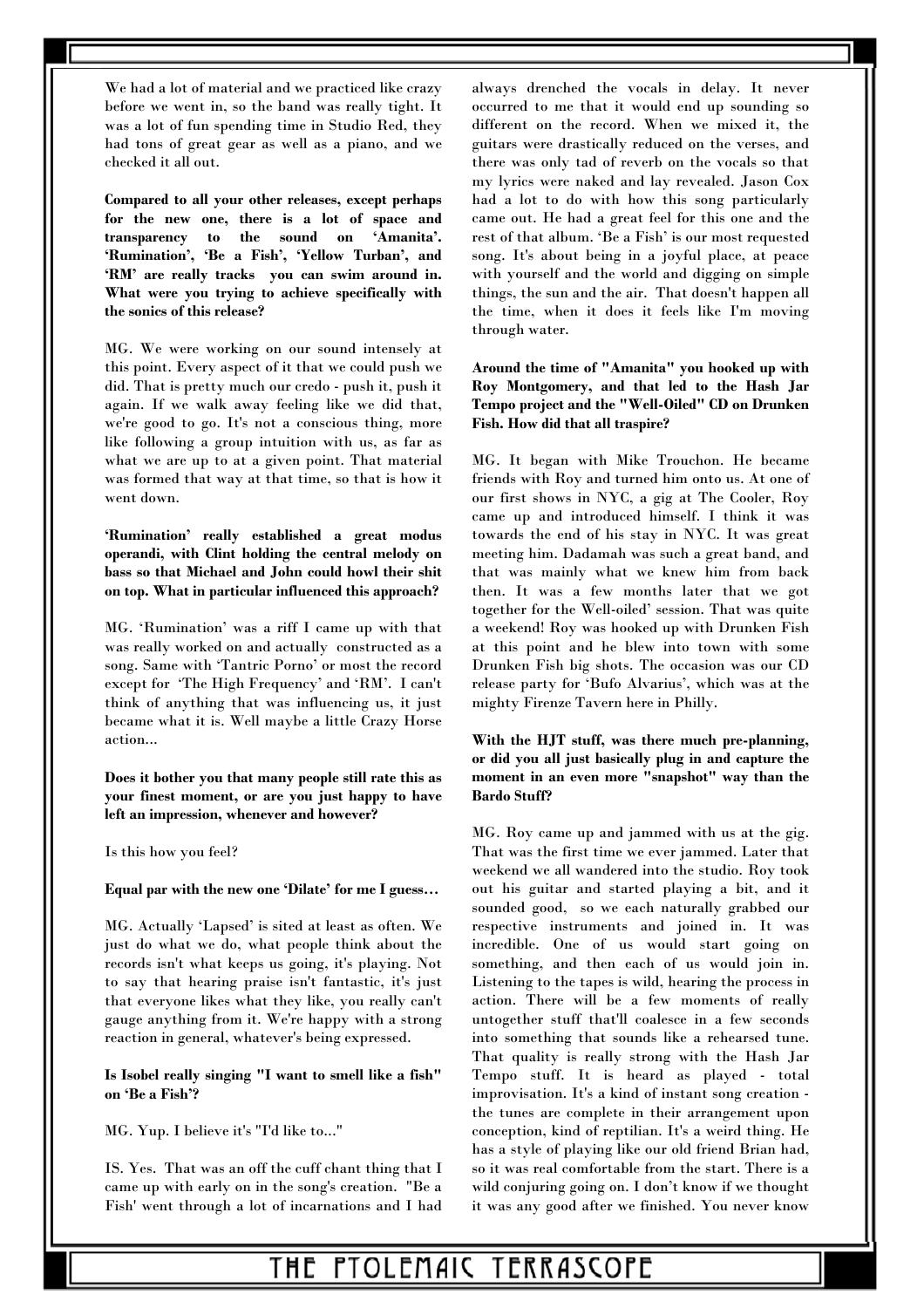We had a lot of material and we practiced like crazy before we went in, so the band was really tight. It was a lot of fun spending time in Studio Red, they had tons of great gear as well as a piano, and we checked it all out.

**Compared to all your other releases, except perhaps for the new one, there is a lot of space and transparency to the sound on 'Amanita'. 'Rumination', 'Be a Fish', 'Yellow Turban', and 'RM' are really tracks you can swim around in. What were you trying to achieve specifically with the sonics of this release?** 

MG. We were working on our sound intensely at this point. Every aspect of it that we could push we did. That is pretty much our credo - push it, push it again. If we walk away feeling like we did that, we're good to go. It's not a conscious thing, more like following a group intuition with us, as far as what we are up to at a given point. That material was formed that way at that time, so that is how it went down.

**'Rumination' really established a great modus operandi, with Clint holding the central melody on bass so that Michael and John could howl their shit on top. What in particular influenced this approach?** 

MG. 'Rumination' was a riff I came up with that was really worked on and actually constructed as a song. Same with 'Tantric Porno' or most the record except for 'The High Frequency' and 'RM'. I can't think of anything that was influencing us, it just became what it is. Well maybe a little Crazy Horse action...

**Does it bother you that many people still rate this as your finest moment, or are you just happy to have left an impression, whenever and however?** 

Is this how you feel?

#### **Equal par with the new one 'Dilate' for me I guess…**

MG. Actually 'Lapsed' is sited at least as often. We just do what we do, what people think about the records isn't what keeps us going, it's playing. Not to say that hearing praise isn't fantastic, it's just that everyone likes what they like, you really can't gauge anything from it. We're happy with a strong reaction in general, whatever's being expressed.

**Is Isobel really singing "I want to smell like a fish" on 'Be a Fish'?** 

MG. Yup. I believe it's "I'd like to..."

IS. Yes. That was an off the cuff chant thing that I came up with early on in the song's creation. "Be a Fish' went through a lot of incarnations and I had always drenched the vocals in delay. It never occurred to me that it would end up sounding so different on the record. When we mixed it, the guitars were drastically reduced on the verses, and there was only tad of reverb on the vocals so that my lyrics were naked and lay revealed. Jason Cox had a lot to do with how this song particularly came out. He had a great feel for this one and the rest of that album. 'Be a Fish' is our most requested song. It's about being in a joyful place, at peace with yourself and the world and digging on simple things, the sun and the air. That doesn't happen all the time, when it does it feels like I'm moving through water.

**Around the time of "Amanita" you hooked up with Roy Montgomery, and that led to the Hash Jar Tempo project and the "Well-Oiled" CD on Drunken Fish. How did that all traspire?** 

MG. It began with Mike Trouchon. He became friends with Roy and turned him onto us. At one of our first shows in NYC, a gig at The Cooler, Roy came up and introduced himself. I think it was towards the end of his stay in NYC. It was great meeting him. Dadamah was such a great band, and that was mainly what we knew him from back then. It was a few months later that we got together for the Well-oiled' session. That was quite a weekend! Roy was hooked up with Drunken Fish at this point and he blew into town with some Drunken Fish big shots. The occasion was our CD release party for 'Bufo Alvarius', which was at the mighty Firenze Tavern here in Philly.

**With the HJT stuff, was there much pre-planning, or did you all just basically plug in and capture the moment in an even more "snapshot" way than the Bardo Stuff?** 

MG. Roy came up and jammed with us at the gig. That was the first time we ever jammed. Later that weekend we all wandered into the studio. Roy took out his guitar and started playing a bit, and it sounded good, so we each naturally grabbed our respective instruments and joined in. It was incredible. One of us would start going on something, and then each of us would join in. Listening to the tapes is wild, hearing the process in action. There will be a few moments of really untogether stuff that'll coalesce in a few seconds into something that sounds like a rehearsed tune. That quality is really strong with the Hash Jar Tempo stuff. It is heard as played - total improvisation. It's a kind of instant song creation the tunes are complete in their arrangement upon conception, kind of reptilian. It's a weird thing. He has a style of playing like our old friend Brian had, so it was real comfortable from the start. There is a wild conjuring going on. I don't know if we thought it was any good after we finished. You never know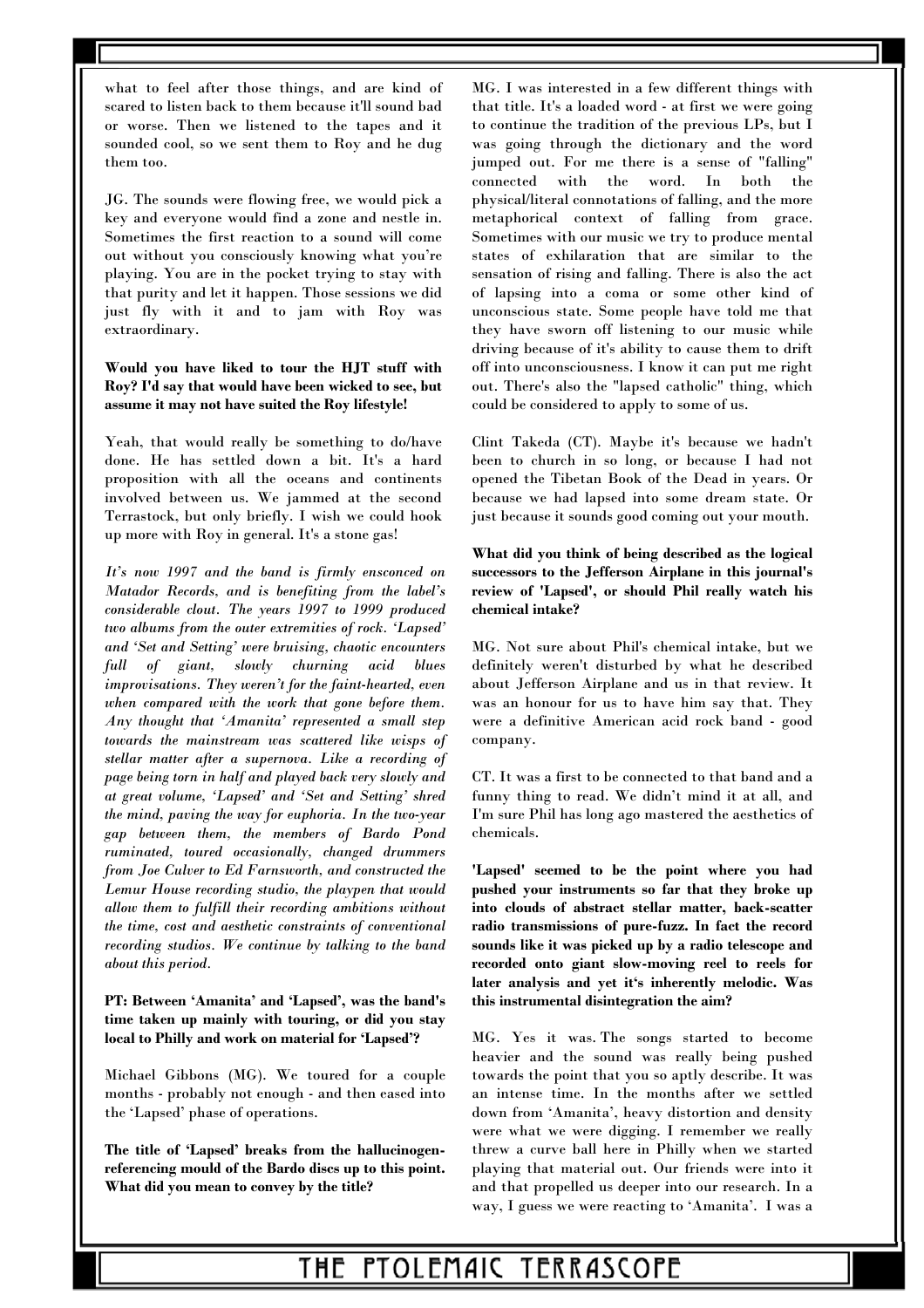what to feel after those things, and are kind of scared to listen back to them because it'll sound bad or worse. Then we listened to the tapes and it sounded cool, so we sent them to Roy and he dug them too.

JG. The sounds were flowing free, we would pick a key and everyone would find a zone and nestle in. Sometimes the first reaction to a sound will come out without you consciously knowing what you're playing. You are in the pocket trying to stay with that purity and let it happen. Those sessions we did just fly with it and to jam with Roy was extraordinary.

**Would you have liked to tour the HJT stuff with Roy? I'd say that would have been wicked to see, but assume it may not have suited the Roy lifestyle!** 

Yeah, that would really be something to do/have done. He has settled down a bit. It's a hard proposition with all the oceans and continents involved between us. We jammed at the second Terrastock, but only briefly. I wish we could hook up more with Roy in general. It's a stone gas!

*It's now 1997 and the band is firmly ensconced on Matador Records, and is benefiting from the label's considerable clout. The years 1997 to 1999 produced two albums from the outer extremities of rock. 'Lapsed' and 'Set and Setting' were bruising, chaotic encounters full of giant, slowly churning acid blues improvisations. They weren't for the faint-hearted, even when compared with the work that gone before them. Any thought that 'Amanita' represented a small step towards the mainstream was scattered like wisps of stellar matter after a supernova. Like a recording of page being torn in half and played back very slowly and at great volume, 'Lapsed' and 'Set and Setting' shred the mind, paving the way for euphoria. In the two-year gap between them, the members of Bardo Pond ruminated, toured occasionally, changed drummers from Joe Culver to Ed Farnsworth, and constructed the Lemur House recording studio, the playpen that would allow them to fulfill their recording ambitions without the time, cost and aesthetic constraints of conventional recording studios. We continue by talking to the band about this period.* 

**PT: Between 'Amanita' and 'Lapsed', was the band's time taken up mainly with touring, or did you stay local to Philly and work on material for 'Lapsed'?**

Michael Gibbons (MG). We toured for a couple months - probably not enough - and then eased into the 'Lapsed' phase of operations.

**The title of 'Lapsed' breaks from the hallucinogenreferencing mould of the Bardo discs up to this point. What did you mean to convey by the title?** 

MG. I was interested in a few different things with that title. It's a loaded word - at first we were going to continue the tradition of the previous LPs, but I was going through the dictionary and the word jumped out. For me there is a sense of "falling" connected with the word. In both the physical/literal connotations of falling, and the more metaphorical context of falling from grace. Sometimes with our music we try to produce mental states of exhilaration that are similar to the sensation of rising and falling. There is also the act of lapsing into a coma or some other kind of unconscious state. Some people have told me that they have sworn off listening to our music while driving because of it's ability to cause them to drift off into unconsciousness. I know it can put me right out. There's also the "lapsed catholic" thing, which could be considered to apply to some of us.

Clint Takeda (CT). Maybe it's because we hadn't been to church in so long, or because I had not opened the Tibetan Book of the Dead in years. Or because we had lapsed into some dream state. Or just because it sounds good coming out your mouth.

### **What did you think of being described as the logical successors to the Jefferson Airplane in this journal's review of 'Lapsed', or should Phil really watch his chemical intake?**

MG. Not sure about Phil's chemical intake, but we definitely weren't disturbed by what he described about Jefferson Airplane and us in that review. It was an honour for us to have him say that. They were a definitive American acid rock band - good company.

CT. It was a first to be connected to that band and a funny thing to read. We didn't mind it at all, and I'm sure Phil has long ago mastered the aesthetics of chemicals.

**'Lapsed' seemed to be the point where you had pushed your instruments so far that they broke up into clouds of abstract stellar matter, back-scatter radio transmissions of pure-fuzz. In fact the record sounds like it was picked up by a radio telescope and recorded onto giant slow-moving reel to reels for later analysis and yet it's inherently melodic. Was this instrumental disintegration the aim?** 

MG. Yes it was. The songs started to become heavier and the sound was really being pushed towards the point that you so aptly describe. It was an intense time. In the months after we settled down from 'Amanita', heavy distortion and density were what we were digging. I remember we really threw a curve ball here in Philly when we started playing that material out. Our friends were into it and that propelled us deeper into our research. In a way, I guess we were reacting to 'Amanita'. I was a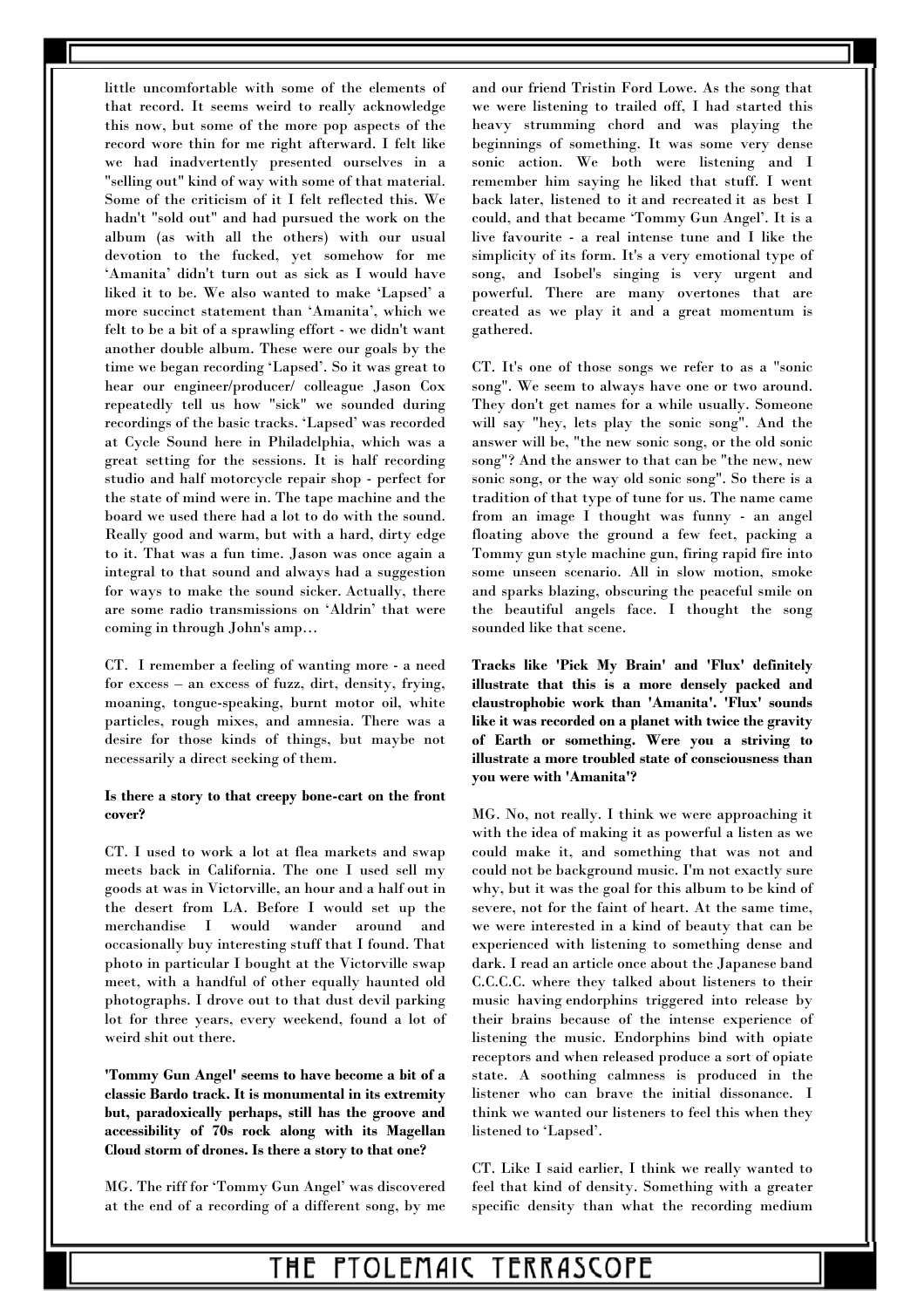little uncomfortable with some of the elements of that record. It seems weird to really acknowledge this now, but some of the more pop aspects of the record wore thin for me right afterward. I felt like we had inadvertently presented ourselves in a "selling out" kind of way with some of that material. Some of the criticism of it I felt reflected this. We hadn't "sold out" and had pursued the work on the album (as with all the others) with our usual devotion to the fucked, yet somehow for me 'Amanita' didn't turn out as sick as I would have liked it to be. We also wanted to make 'Lapsed' a more succinct statement than 'Amanita', which we felt to be a bit of a sprawling effort - we didn't want another double album. These were our goals by the time we began recording 'Lapsed'. So it was great to hear our engineer/producer/ colleague Jason Cox repeatedly tell us how "sick" we sounded during recordings of the basic tracks. 'Lapsed' was recorded at Cycle Sound here in Philadelphia, which was a great setting for the sessions. It is half recording studio and half motorcycle repair shop - perfect for the state of mind were in. The tape machine and the board we used there had a lot to do with the sound. Really good and warm, but with a hard, dirty edge to it. That was a fun time. Jason was once again a integral to that sound and always had a suggestion for ways to make the sound sicker. Actually, there are some radio transmissions on 'Aldrin' that were coming in through John's amp…

CT. I remember a feeling of wanting more - a need for excess – an excess of fuzz, dirt, density, frying, moaning, tongue-speaking, burnt motor oil, white particles, rough mixes, and amnesia. There was a desire for those kinds of things, but maybe not necessarily a direct seeking of them.

#### **Is there a story to that creepy bone-cart on the front cover?**

CT. I used to work a lot at flea markets and swap meets back in California. The one I used sell my goods at was in Victorville, an hour and a half out in the desert from LA. Before I would set up the merchandise I would wander around and occasionally buy interesting stuff that I found. That photo in particular I bought at the Victorville swap meet, with a handful of other equally haunted old photographs. I drove out to that dust devil parking lot for three years, every weekend, found a lot of weird shit out there.

**'Tommy Gun Angel' seems to have become a bit of a classic Bardo track. It is monumental in its extremity but, paradoxically perhaps, still has the groove and accessibility of 70s rock along with its Magellan Cloud storm of drones. Is there a story to that one?** 

MG. The riff for 'Tommy Gun Angel' was discovered at the end of a recording of a different song, by me and our friend Tristin Ford Lowe. As the song that we were listening to trailed off, I had started this heavy strumming chord and was playing the beginnings of something. It was some very dense sonic action. We both were listening and I remember him saying he liked that stuff. I went back later, listened to it and recreated it as best I could, and that became 'Tommy Gun Angel'. It is a live favourite - a real intense tune and I like the simplicity of its form. It's a very emotional type of song, and Isobel's singing is very urgent and powerful. There are many overtones that are created as we play it and a great momentum is gathered.

CT. It's one of those songs we refer to as a "sonic song". We seem to always have one or two around. They don't get names for a while usually. Someone will say "hey, lets play the sonic song". And the answer will be, "the new sonic song, or the old sonic song"? And the answer to that can be "the new, new sonic song, or the way old sonic song". So there is a tradition of that type of tune for us. The name came from an image I thought was funny - an angel floating above the ground a few feet, packing a Tommy gun style machine gun, firing rapid fire into some unseen scenario. All in slow motion, smoke and sparks blazing, obscuring the peaceful smile on the beautiful angels face. I thought the song sounded like that scene.

**Tracks like 'Pick My Brain' and 'Flux' definitely illustrate that this is a more densely packed and claustrophobic work than 'Amanita'. 'Flux' sounds like it was recorded on a planet with twice the gravity of Earth or something. Were you a striving to illustrate a more troubled state of consciousness than you were with 'Amanita'?** 

MG. No, not really. I think we were approaching it with the idea of making it as powerful a listen as we could make it, and something that was not and could not be background music. I'm not exactly sure why, but it was the goal for this album to be kind of severe, not for the faint of heart. At the same time, we were interested in a kind of beauty that can be experienced with listening to something dense and dark. I read an article once about the Japanese band C.C.C.C. where they talked about listeners to their music having endorphins triggered into release by their brains because of the intense experience of listening the music. Endorphins bind with opiate receptors and when released produce a sort of opiate state. A soothing calmness is produced in the listener who can brave the initial dissonance. I think we wanted our listeners to feel this when they listened to 'Lapsed'.

CT. Like I said earlier, I think we really wanted to feel that kind of density. Something with a greater specific density than what the recording medium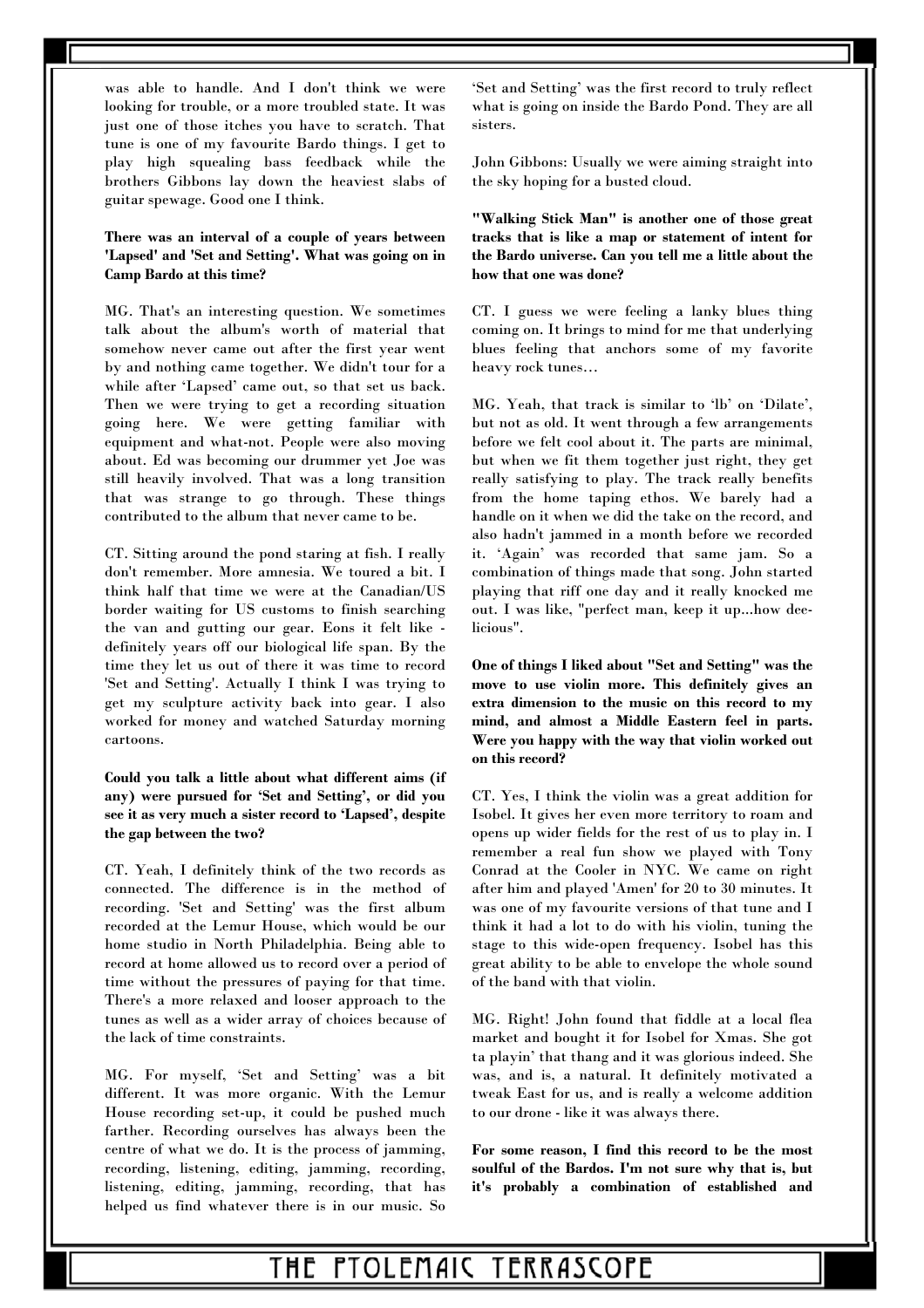was able to handle. And I don't think we were looking for trouble, or a more troubled state. It was just one of those itches you have to scratch. That tune is one of my favourite Bardo things. I get to play high squealing bass feedback while the brothers Gibbons lay down the heaviest slabs of guitar spewage. Good one I think.

### **There was an interval of a couple of years between 'Lapsed' and 'Set and Setting'. What was going on in Camp Bardo at this time?**

MG. That's an interesting question. We sometimes talk about the album's worth of material that somehow never came out after the first year went by and nothing came together. We didn't tour for a while after 'Lapsed' came out, so that set us back. Then we were trying to get a recording situation going here. We were getting familiar with equipment and what-not. People were also moving about. Ed was becoming our drummer yet Joe was still heavily involved. That was a long transition that was strange to go through. These things contributed to the album that never came to be.

CT. Sitting around the pond staring at fish. I really don't remember. More amnesia. We toured a bit. I think half that time we were at the Canadian/US border waiting for US customs to finish searching the van and gutting our gear. Eons it felt like definitely years off our biological life span. By the time they let us out of there it was time to record 'Set and Setting'. Actually I think I was trying to get my sculpture activity back into gear. I also worked for money and watched Saturday morning cartoons.

**Could you talk a little about what different aims (if any) were pursued for 'Set and Setting', or did you see it as very much a sister record to 'Lapsed', despite the gap between the two?** 

CT. Yeah, I definitely think of the two records as connected. The difference is in the method of recording. 'Set and Setting' was the first album recorded at the Lemur House, which would be our home studio in North Philadelphia. Being able to record at home allowed us to record over a period of time without the pressures of paying for that time. There's a more relaxed and looser approach to the tunes as well as a wider array of choices because of the lack of time constraints.

MG. For myself, 'Set and Setting' was a bit different. It was more organic. With the Lemur House recording set-up, it could be pushed much farther. Recording ourselves has always been the centre of what we do. It is the process of jamming, recording, listening, editing, jamming, recording, listening, editing, jamming, recording, that has helped us find whatever there is in our music. So 'Set and Setting' was the first record to truly reflect what is going on inside the Bardo Pond. They are all sisters.

John Gibbons: Usually we were aiming straight into the sky hoping for a busted cloud.

**"Walking Stick Man" is another one of those great tracks that is like a map or statement of intent for the Bardo universe. Can you tell me a little about the how that one was done?** 

CT. I guess we were feeling a lanky blues thing coming on. It brings to mind for me that underlying blues feeling that anchors some of my favorite heavy rock tunes…

MG. Yeah, that track is similar to 'lb' on 'Dilate', but not as old. It went through a few arrangements before we felt cool about it. The parts are minimal, but when we fit them together just right, they get really satisfying to play. The track really benefits from the home taping ethos. We barely had a handle on it when we did the take on the record, and also hadn't jammed in a month before we recorded it. 'Again' was recorded that same jam. So a combination of things made that song. John started playing that riff one day and it really knocked me out. I was like, "perfect man, keep it up...how deelicious".

**One of things I liked about "Set and Setting" was the move to use violin more. This definitely gives an extra dimension to the music on this record to my mind, and almost a Middle Eastern feel in parts. Were you happy with the way that violin worked out on this record?** 

CT. Yes, I think the violin was a great addition for Isobel. It gives her even more territory to roam and opens up wider fields for the rest of us to play in. I remember a real fun show we played with Tony Conrad at the Cooler in NYC. We came on right after him and played 'Amen' for 20 to 30 minutes. It was one of my favourite versions of that tune and I think it had a lot to do with his violin, tuning the stage to this wide-open frequency. Isobel has this great ability to be able to envelope the whole sound of the band with that violin.

MG. Right! John found that fiddle at a local flea market and bought it for Isobel for Xmas. She got ta playin' that thang and it was glorious indeed. She was, and is, a natural. It definitely motivated a tweak East for us, and is really a welcome addition to our drone - like it was always there.

**For some reason, I find this record to be the most soulful of the Bardos. I'm not sure why that is, but it's probably a combination of established and**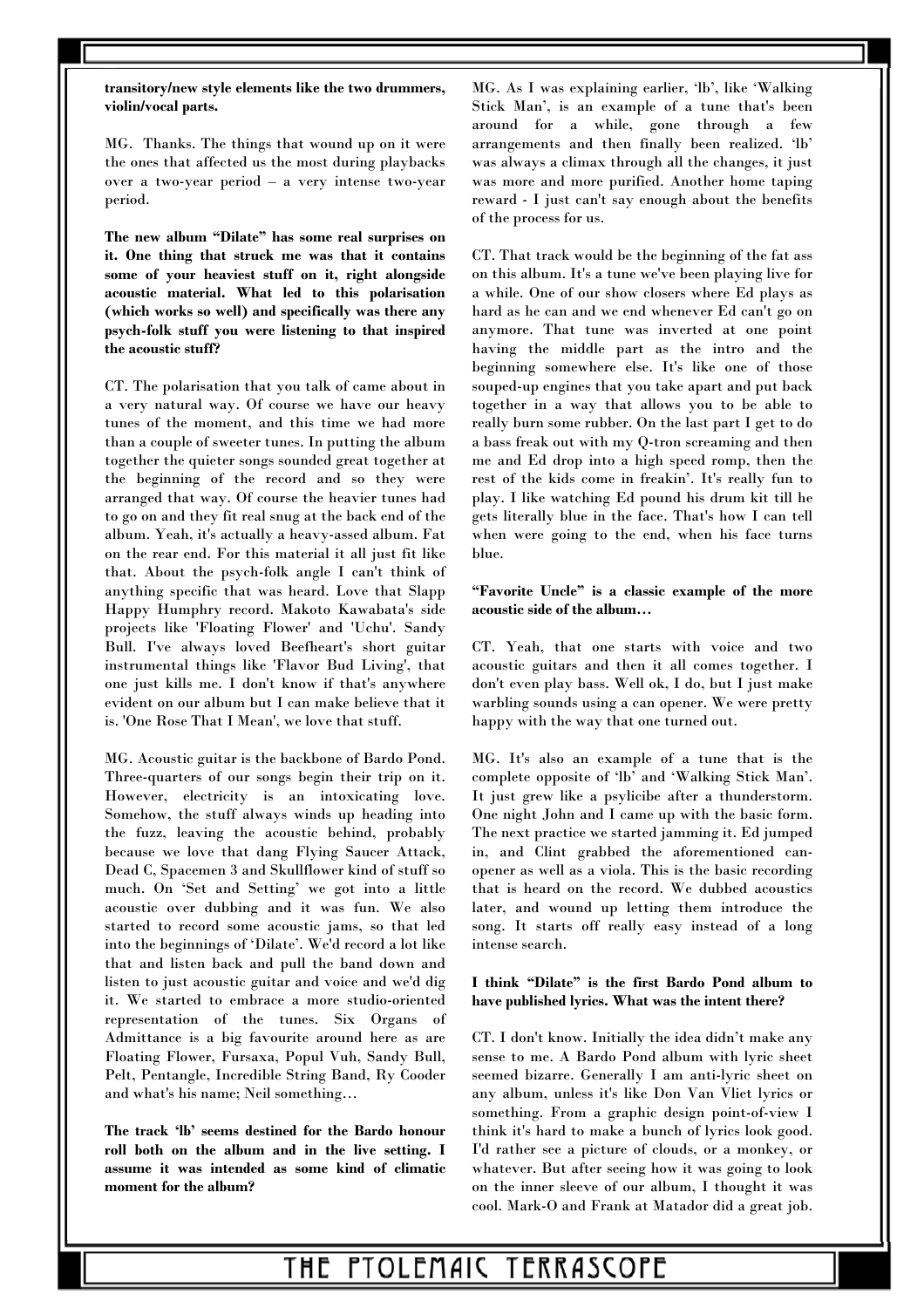**transitory/new style elements like the two drummers, violin/vocal parts.** 

MG. Thanks. The things that wound up on it were the ones that affected us the most during playbacks over a two-year period – a very intense two-year period.

**The new album "Dilate" has some real surprises on it. One thing that struck me was that it contains some of your heaviest stuff on it, right alongside acoustic material. What led to this polarisation (which works so well) and specifically was there any psych-folk stuff you were listening to that inspired the acoustic stuff?** 

CT. The polarisation that you talk of came about in a very natural way. Of course we have our heavy tunes of the moment, and this time we had more than a couple of sweeter tunes. In putting the album together the quieter songs sounded great together at the beginning of the record and so they were arranged that way. Of course the heavier tunes had to go on and they fit real snug at the back end of the album. Yeah, it's actually a heavy-assed album. Fat on the rear end. For this material it all just fit like that. About the psych-folk angle I can't think of anything specific that was heard. Love that Slapp Happy Humphry record. Makoto Kawabata's side projects like 'Floating Flower' and 'Uchu'. Sandy Bull. I've always loved Beefheart's short guitar instrumental things like 'Flavor Bud Living', that one just kills me. I don't know if that's anywhere evident on our album but I can make believe that it is. 'One Rose That I Mean', we love that stuff.

MG. Acoustic guitar is the backbone of Bardo Pond. Three-quarters of our songs begin their trip on it. However, electricity is an intoxicating love. Somehow, the stuff always winds up heading into the fuzz, leaving the acoustic behind, probably because we love that dang Flying Saucer Attack, Dead C, Spacemen 3 and Skullflower kind of stuff so much. On 'Set and Setting' we got into a little acoustic over dubbing and it was fun. We also started to record some acoustic jams, so that led into the beginnings of 'Dilate'. We'd record a lot like that and listen back and pull the band down and listen to just acoustic guitar and voice and we'd dig it. We started to embrace a more studio-oriented representation of the tunes. Six Organs of Admittance is a big favourite around here as are Floating Flower, Fursaxa, Popul Vuh, Sandy Bull, Pelt, Pentangle, Incredible String Band, Ry Cooder and what's his name; Neil something…

**The track 'lb' seems destined for the Bardo honour roll both on the album and in the live setting. I assume it was intended as some kind of climatic moment for the album?** 

MG. As I was explaining earlier, 'lb', like 'Walking Stick Man', is an example of a tune that's been around for a while, gone through a few arrangements and then finally been realized. 'lb' was always a climax through all the changes, it just was more and more purified. Another home taping reward - I just can't say enough about the benefits of the process for us.

CT. That track would be the beginning of the fat ass on this album. It's a tune we've been playing live for a while. One of our show closers where Ed plays as hard as he can and we end whenever Ed can't go on anymore. That tune was inverted at one point having the middle part as the intro and the beginning somewhere else. It's like one of those souped-up engines that you take apart and put back together in a way that allows you to be able to really burn some rubber. On the last part I get to do a bass freak out with my Q-tron screaming and then me and Ed drop into a high speed romp, then the rest of the kids come in freakin'. It's really fun to play. I like watching Ed pound his drum kit till he gets literally blue in the face. That's how I can tell when were going to the end, when his face turns blue.

#### **"Favorite Uncle" is a classic example of the more acoustic side of the album…**

CT. Yeah, that one starts with voice and two acoustic guitars and then it all comes together. I don't even play bass. Well ok, I do, but I just make warbling sounds using a can opener. We were pretty happy with the way that one turned out.

MG. It's also an example of a tune that is the complete opposite of 'lb' and 'Walking Stick Man'. It just grew like a psylicibe after a thunderstorm. One night John and I came up with the basic form. The next practice we started jamming it. Ed jumped in, and Clint grabbed the aforementioned canopener as well as a viola. This is the basic recording that is heard on the record. We dubbed acoustics later, and wound up letting them introduce the song. It starts off really easy instead of a long intense search.

#### **I think "Dilate" is the first Bardo Pond album to have published lyrics. What was the intent there?**

CT. I don't know. Initially the idea didn't make any sense to me. A Bardo Pond album with lyric sheet seemed bizarre. Generally I am anti-lyric sheet on any album, unless it's like Don Van Vliet lyrics or something. From a graphic design point-of-view I think it's hard to make a bunch of lyrics look good. I'd rather see a picture of clouds, or a monkey, or whatever. But after seeing how it was going to look on the inner sleeve of our album, I thought it was cool. Mark-O and Frank at Matador did a great job.